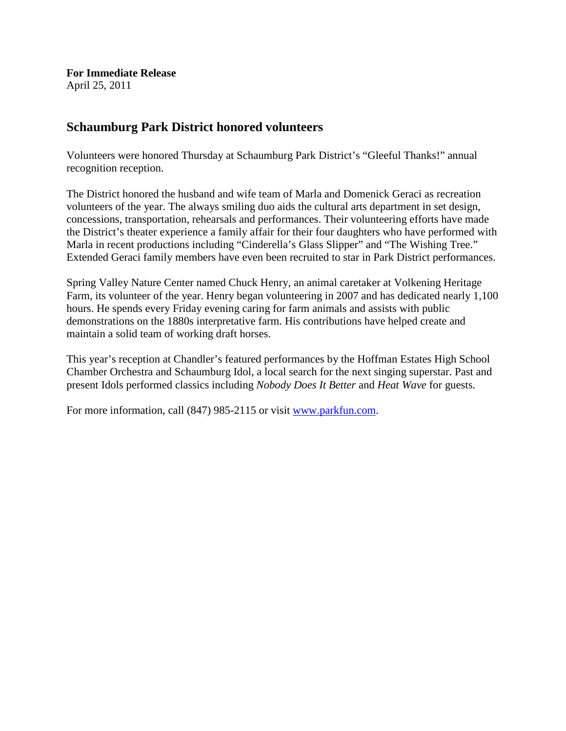**For Immediate Release** April 25, 2011

## **Schaumburg Park District honored volunteers**

Volunteers were honored Thursday at Schaumburg Park District's "Gleeful Thanks!" annual recognition reception.

The District honored the husband and wife team of Marla and Domenick Geraci as recreation volunteers of the year. The always smiling duo aids the cultural arts department in set design, concessions, transportation, rehearsals and performances. Their volunteering efforts have made the District's theater experience a family affair for their four daughters who have performed with Marla in recent productions including "Cinderella's Glass Slipper" and "The Wishing Tree." Extended Geraci family members have even been recruited to star in Park District performances.

Spring Valley Nature Center named Chuck Henry, an animal caretaker at Volkening Heritage Farm, its volunteer of the year. Henry began volunteering in 2007 and has dedicated nearly 1,100 hours. He spends every Friday evening caring for farm animals and assists with public demonstrations on the 1880s interpretative farm. His contributions have helped create and maintain a solid team of working draft horses.

This year's reception at Chandler's featured performances by the Hoffman Estates High School Chamber Orchestra and Schaumburg Idol, a local search for the next singing superstar. Past and present Idols performed classics including *Nobody Does It Better* and *Heat Wave* for guests.

For more information, call (847) 985-2115 or visit [www.parkfun.com.](http://www.parkfun.com/)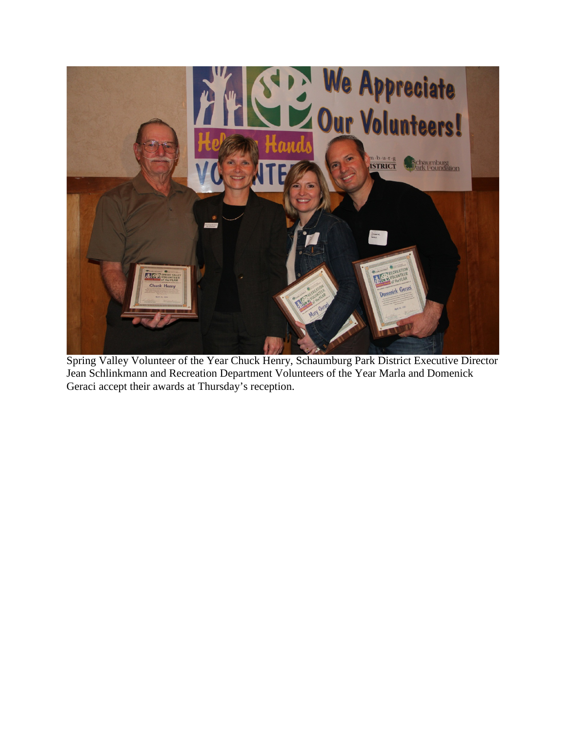

Spring Valley Volunteer of the Year Chuck Henry, Schaumburg Park District Executive Director Jean Schlinkmann and Recreation Department Volunteers of the Year Marla and Domenick Geraci accept their awards at Thursday's reception.